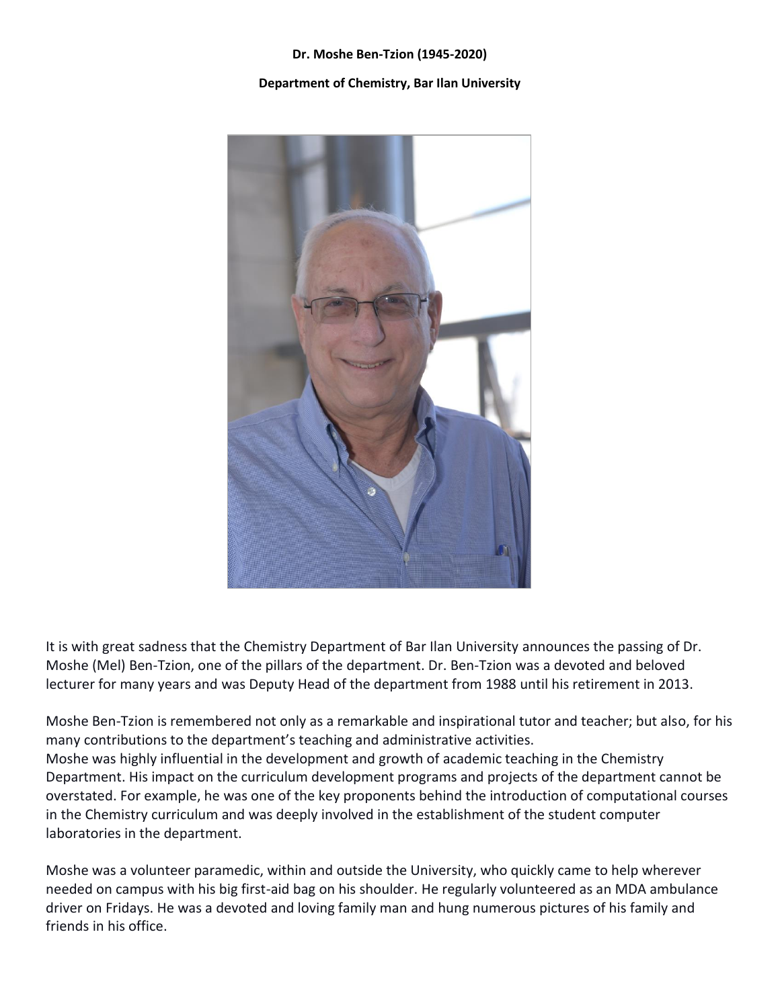## **Dr. Moshe Ben-Tzion (1945-2020)**

## **Department of Chemistry, Bar Ilan University**



It is with great sadness that the Chemistry Department of Bar Ilan University announces the passing of Dr. Moshe (Mel) Ben-Tzion, one of the pillars of the department. Dr. Ben-Tzion was a devoted and beloved lecturer for many years and was Deputy Head of the department from 1988 until his retirement in 2013.

Moshe Ben-Tzion is remembered not only as a remarkable and inspirational tutor and teacher; but also, for his many contributions to the department's teaching and administrative activities. Moshe was highly influential in the development and growth of academic teaching in the Chemistry Department. His impact on the curriculum development programs and projects of the department cannot be overstated. For example, he was one of the key proponents behind the introduction of computational courses in the Chemistry curriculum and was deeply involved in the establishment of the student computer laboratories in the department.

Moshe was a volunteer paramedic, within and outside the University, who quickly came to help wherever needed on campus with his big first-aid bag on his shoulder. He regularly volunteered as an MDA ambulance driver on Fridays. He was a devoted and loving family man and hung numerous pictures of his family and friends in his office.